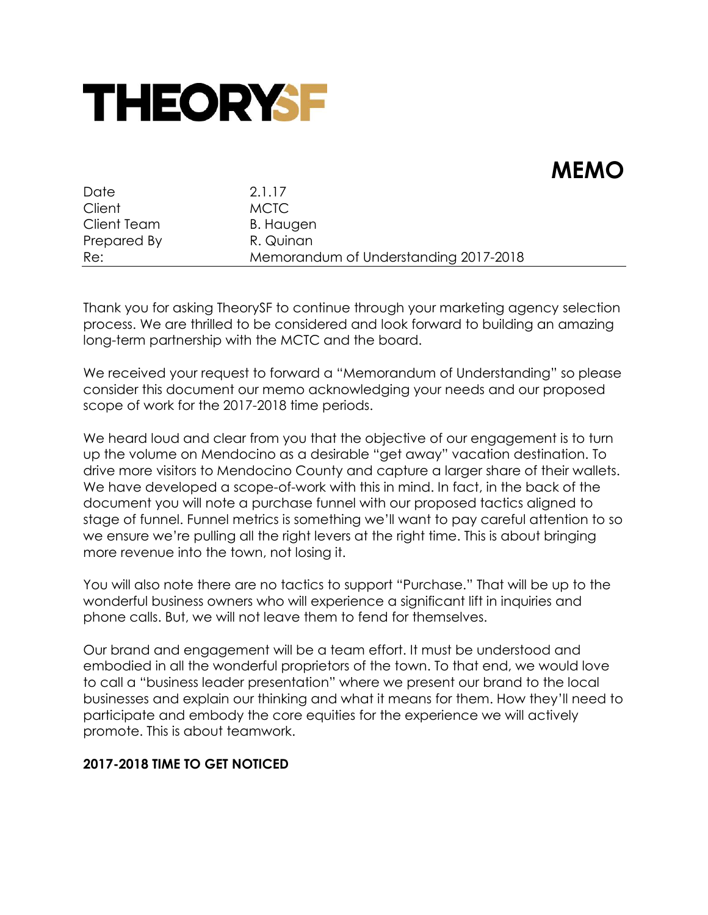

# **MEMO**

| Date        | 2.1.17                                |
|-------------|---------------------------------------|
| Client      | <b>MCTC</b>                           |
| Client Team | B. Haugen                             |
| Prepared By | R. Quinan                             |
| Re:         | Memorandum of Understanding 2017-2018 |

Thank you for asking TheorySF to continue through your marketing agency selection process. We are thrilled to be considered and look forward to building an amazing long-term partnership with the MCTC and the board.

We received your request to forward a "Memorandum of Understanding" so please consider this document our memo acknowledging your needs and our proposed scope of work for the 2017-2018 time periods.

We heard loud and clear from you that the objective of our engagement is to turn up the volume on Mendocino as a desirable "get away" vacation destination. To drive more visitors to Mendocino County and capture a larger share of their wallets. We have developed a scope-of-work with this in mind. In fact, in the back of the document you will note a purchase funnel with our proposed tactics aligned to stage of funnel. Funnel metrics is something we'll want to pay careful attention to so we ensure we're pulling all the right levers at the right time. This is about bringing more revenue into the town, not losing it.

You will also note there are no tactics to support "Purchase." That will be up to the wonderful business owners who will experience a significant lift in inquiries and phone calls. But, we will not leave them to fend for themselves.

Our brand and engagement will be a team effort. It must be understood and embodied in all the wonderful proprietors of the town. To that end, we would love to call a "business leader presentation" where we present our brand to the local businesses and explain our thinking and what it means for them. How they'll need to participate and embody the core equities for the experience we will actively promote. This is about teamwork.

#### **2017-2018 TIME TO GET NOTICED**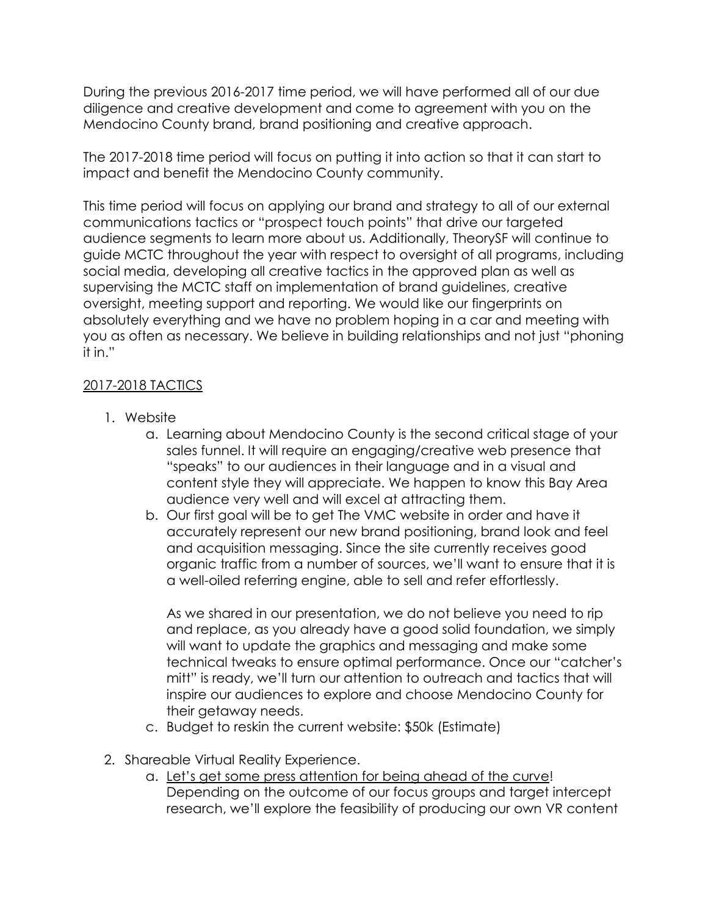During the previous 2016-2017 time period, we will have performed all of our due diligence and creative development and come to agreement with you on the Mendocino County brand, brand positioning and creative approach.

The 2017-2018 time period will focus on putting it into action so that it can start to impact and benefit the Mendocino County community.

This time period will focus on applying our brand and strategy to all of our external communications tactics or "prospect touch points" that drive our targeted audience segments to learn more about us. Additionally, TheorySF will continue to guide MCTC throughout the year with respect to oversight of all programs, including social media, developing all creative tactics in the approved plan as well as supervising the MCTC staff on implementation of brand guidelines, creative oversight, meeting support and reporting. We would like our fingerprints on absolutely everything and we have no problem hoping in a car and meeting with you as often as necessary. We believe in building relationships and not just "phoning it in."

## 2017-2018 TACTICS

- 1. Website
	- a. Learning about Mendocino County is the second critical stage of your sales funnel. It will require an engaging/creative web presence that "speaks" to our audiences in their language and in a visual and content style they will appreciate. We happen to know this Bay Area audience very well and will excel at attracting them.
	- b. Our first goal will be to get The VMC website in order and have it accurately represent our new brand positioning, brand look and feel and acquisition messaging. Since the site currently receives good organic traffic from a number of sources, we'll want to ensure that it is a well-oiled referring engine, able to sell and refer effortlessly.

As we shared in our presentation, we do not believe you need to rip and replace, as you already have a good solid foundation, we simply will want to update the graphics and messaging and make some technical tweaks to ensure optimal performance. Once our "catcher's mitt" is ready, we'll turn our attention to outreach and tactics that will inspire our audiences to explore and choose Mendocino County for their getaway needs.

- c. Budget to reskin the current website: \$50k (Estimate)
- 2. Shareable Virtual Reality Experience.
	- a. Let's get some press attention for being ahead of the curve! Depending on the outcome of our focus groups and target intercept research, we'll explore the feasibility of producing our own VR content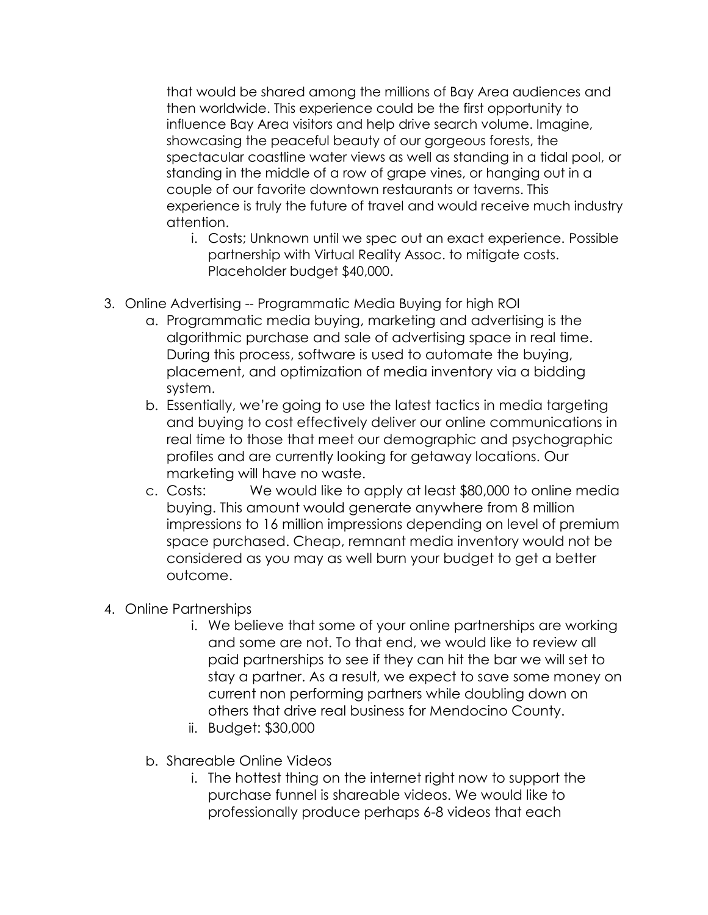that would be shared among the millions of Bay Area audiences and then worldwide. This experience could be the first opportunity to influence Bay Area visitors and help drive search volume. Imagine, showcasing the peaceful beauty of our gorgeous forests, the spectacular coastline water views as well as standing in a tidal pool, or standing in the middle of a row of grape vines, or hanging out in a couple of our favorite downtown restaurants or taverns. This experience is truly the future of travel and would receive much industry attention.

- i. Costs; Unknown until we spec out an exact experience. Possible partnership with Virtual Reality Assoc. to mitigate costs. Placeholder budget \$40,000.
- 3. Online Advertising -- Programmatic Media Buying for high ROI
	- a. Programmatic media buying, marketing and advertising is the algorithmic purchase and sale of advertising space in real time. During this process, software is used to automate the buying, placement, and optimization of media inventory via a bidding system.
	- b. Essentially, we're going to use the latest tactics in media targeting and buying to cost effectively deliver our online communications in real time to those that meet our demographic and psychographic profiles and are currently looking for getaway locations. Our marketing will have no waste.
	- c. Costs: We would like to apply at least \$80,000 to online media buying. This amount would generate anywhere from 8 million impressions to 16 million impressions depending on level of premium space purchased. Cheap, remnant media inventory would not be considered as you may as well burn your budget to get a better outcome.
- 4. Online Partnerships
	- i. We believe that some of your online partnerships are working and some are not. To that end, we would like to review all paid partnerships to see if they can hit the bar we will set to stay a partner. As a result, we expect to save some money on current non performing partners while doubling down on others that drive real business for Mendocino County.
	- ii. Budget: \$30,000
	- b. Shareable Online Videos
		- i. The hottest thing on the internet right now to support the purchase funnel is shareable videos. We would like to professionally produce perhaps 6-8 videos that each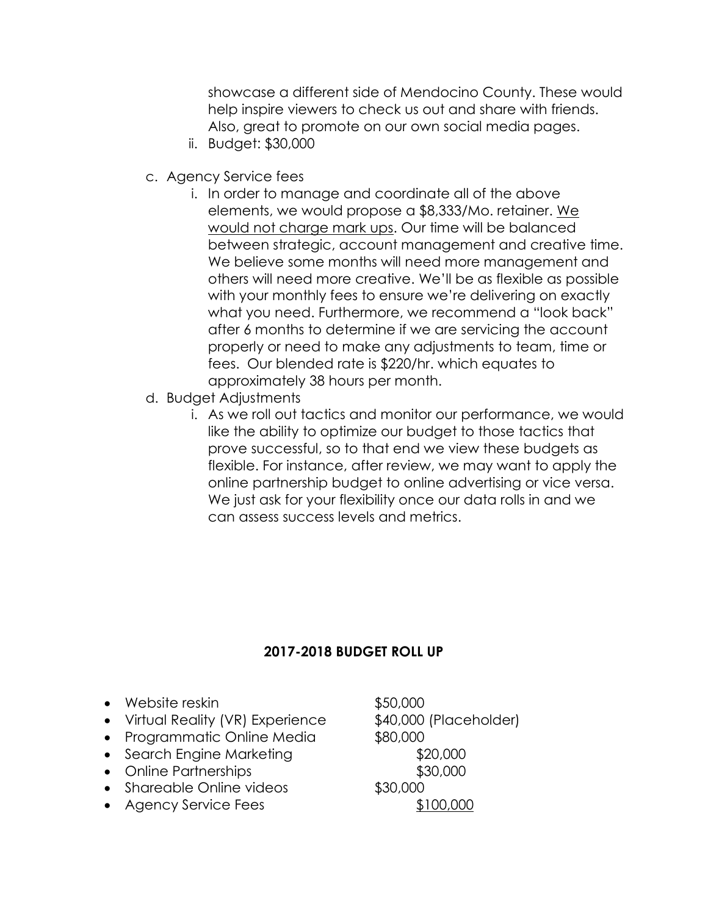showcase a different side of Mendocino County. These would help inspire viewers to check us out and share with friends. Also, great to promote on our own social media pages.

- ii. Budget: \$30,000
- c. Agency Service fees
	- i. In order to manage and coordinate all of the above elements, we would propose a \$8,333/Mo. retainer. We would not charge mark ups. Our time will be balanced between strategic, account management and creative time. We believe some months will need more management and others will need more creative. We'll be as flexible as possible with your monthly fees to ensure we're delivering on exactly what you need. Furthermore, we recommend a "look back" after 6 months to determine if we are servicing the account properly or need to make any adjustments to team, time or fees. Our blended rate is \$220/hr. which equates to approximately 38 hours per month.
- d. Budget Adjustments
	- i. As we roll out tactics and monitor our performance, we would like the ability to optimize our budget to those tactics that prove successful, so to that end we view these budgets as flexible. For instance, after review, we may want to apply the online partnership budget to online advertising or vice versa. We just ask for your flexibility once our data rolls in and we can assess success levels and metrics.

# **2017-2018 BUDGET ROLL UP**

- Website reskin \$50,000
- Virtual Reality (VR) Experience \$40,000 (Placeholder)
- Programmatic Online Media  $$80,000$
- Search Engine Marketing **\$20,000**
- Online Partnerships **\$30,000**
- Shareable Online videos \$30,000
- Agency Service Fees \$100,000